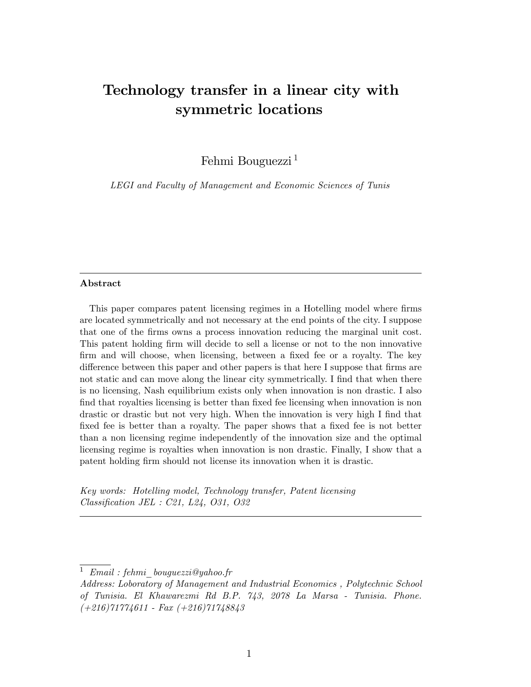# Technology transfer in a linear city with symmetric locations

Fehmi Bouguezzi<sup>1</sup>

LEGI and Faculty of Management and Economic Sciences of Tunis

#### Abstract

This paper compares patent licensing regimes in a Hotelling model where firms are located symmetrically and not necessary at the end points of the city. I suppose that one of the Örms owns a process innovation reducing the marginal unit cost. This patent holding firm will decide to sell a license or not to the non innovative firm and will choose, when licensing, between a fixed fee or a royalty. The key difference between this paper and other papers is that here I suppose that firms are not static and can move along the linear city symmetrically. I find that when there is no licensing, Nash equilibrium exists only when innovation is non drastic. I also find that royalties licensing is better than fixed fee licensing when innovation is non drastic or drastic but not very high. When the innovation is very high I find that fixed fee is better than a royalty. The paper shows that a fixed fee is not better than a non licensing regime independently of the innovation size and the optimal licensing regime is royalties when innovation is non drastic. Finally, I show that a patent holding firm should not license its innovation when it is drastic.

Key words: Hotelling model, Technology transfer, Patent licensing  $Classification$  JEL : C21, L24, O31, O32

<sup>&</sup>lt;sup>1</sup> Email : fehmi bouquezzi@yahoo.fr

Address: Loboratory of Management and Industrial Economics , Polytechnic School of Tunisia. El Khawarezmi Rd B.P. 743, 2078 La Marsa - Tunisia. Phone.  $(+216)71774611 - Fax (+216)71748843$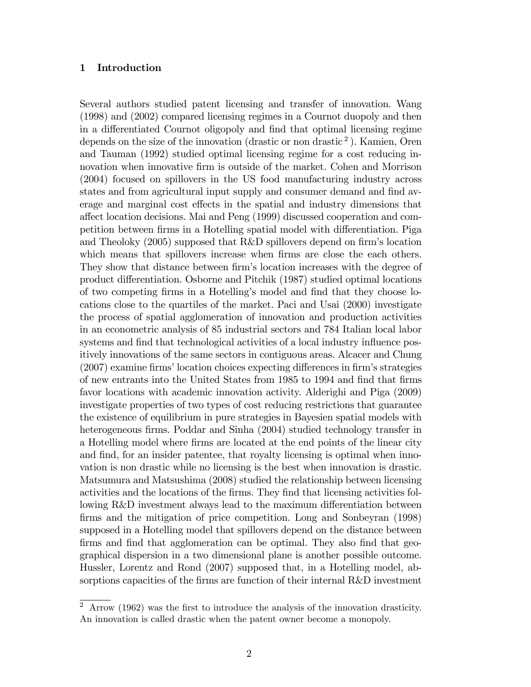#### 1 Introduction

Several authors studied patent licensing and transfer of innovation. Wang (1998) and (2002) compared licensing regimes in a Cournot duopoly and then in a differentiated Cournot oligopoly and find that optimal licensing regime depends on the size of the innovation (drastic or non drastic<sup>2</sup>). Kamien, Oren and Tauman (1992) studied optimal licensing regime for a cost reducing innovation when innovative firm is outside of the market. Cohen and Morrison (2004) focused on spillovers in the US food manufacturing industry across states and from agricultural input supply and consumer demand and find average and marginal cost effects in the spatial and industry dimensions that a§ect location decisions. Mai and Peng (1999) discussed cooperation and competition between firms in a Hotelling spatial model with differentiation. Piga and Theoloky  $(2005)$  supposed that R&D spillovers depend on firm's location which means that spillovers increase when firms are close the each others. They show that distance between firm's location increases with the degree of product differentiation. Osborne and Pitchik (1987) studied optimal locations of two competing Örms in a Hotellingís model and Önd that they choose locations close to the quartiles of the market. Paci and Usai (2000) investigate the process of spatial agglomeration of innovation and production activities in an econometric analysis of 85 industrial sectors and 784 Italian local labor systems and find that technological activities of a local industry influence positively innovations of the same sectors in contiguous areas. Alcacer and Chung  $(2007)$  examine firms' location choices expecting differences in firm's strategies of new entrants into the United States from 1985 to 1994 and find that firms favor locations with academic innovation activity. Alderighi and Piga (2009) investigate properties of two types of cost reducing restrictions that guarantee the existence of equilibrium in pure strategies in Bayesien spatial models with heterogeneous firms. Poddar and Sinha (2004) studied technology transfer in a Hotelling model where firms are located at the end points of the linear city and find, for an insider patentee, that royalty licensing is optimal when innovation is non drastic while no licensing is the best when innovation is drastic. Matsumura and Matsushima (2008) studied the relationship between licensing activities and the locations of the Örms. They Önd that licensing activities following R&D investment always lead to the maximum differentiation between firms and the mitigation of price competition. Long and Sonbeyran (1998) supposed in a Hotelling model that spillovers depend on the distance between firms and find that agglomeration can be optimal. They also find that geographical dispersion in a two dimensional plane is another possible outcome. Hussler, Lorentz and Rond (2007) supposed that, in a Hotelling model, absorptions capacities of the firms are function of their internal  $R&D$  investment

<sup>&</sup>lt;sup>2</sup> Arrow (1962) was the first to introduce the analysis of the innovation drasticity. An innovation is called drastic when the patent owner become a monopoly.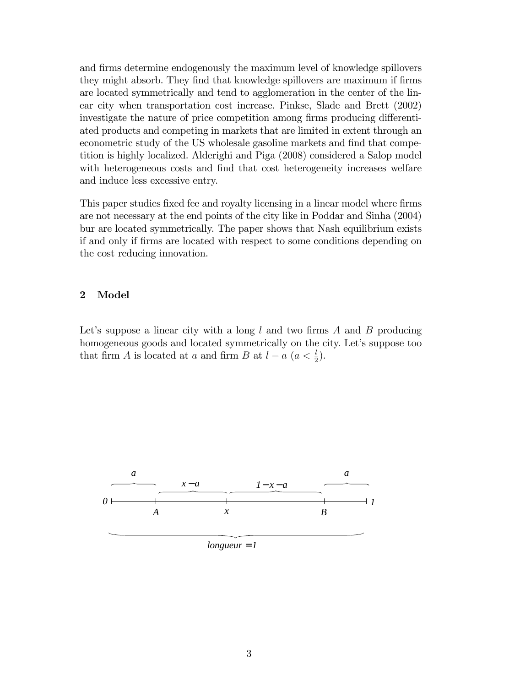and firms determine endogenously the maximum level of knowledge spillovers they might absorb. They find that knowledge spillovers are maximum if firms are located symmetrically and tend to agglomeration in the center of the linear city when transportation cost increase. Pinkse, Slade and Brett (2002) investigate the nature of price competition among firms producing differentiated products and competing in markets that are limited in extent through an econometric study of the US wholesale gasoline markets and find that competition is highly localized. Alderighi and Piga (2008) considered a Salop model with heterogeneous costs and find that cost heterogeneity increases welfare and induce less excessive entry.

This paper studies fixed fee and royalty licensing in a linear model where firms are not necessary at the end points of the city like in Poddar and Sinha (2004) bur are located symmetrically. The paper shows that Nash equilibrium exists if and only if Örms are located with respect to some conditions depending on the cost reducing innovation.

## 2 Model

Let's suppose a linear city with a long  $l$  and two firms  $A$  and  $B$  producing homogeneous goods and located symmetrically on the city. Let's suppose too that firm A is located at a and firm B at  $l - a$   $(a < \frac{l}{2})$ .



 $longueur = 1$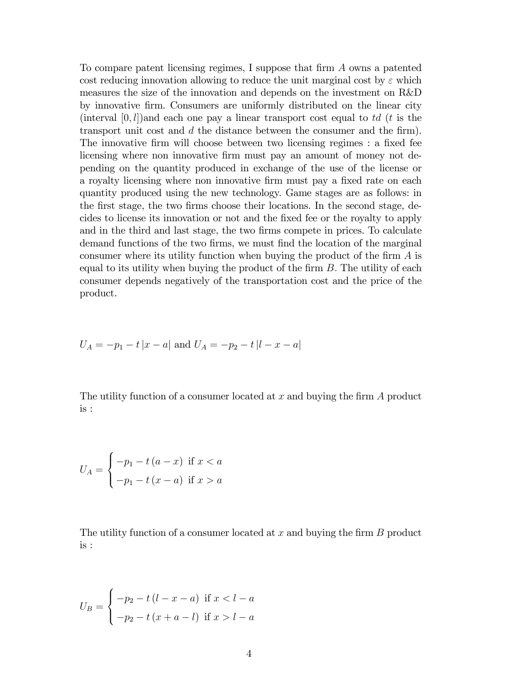To compare patent licensing regimes, I suppose that firm A owns a patented cost reducing innovation allowing to reduce the unit marginal cost by  $\varepsilon$  which measures the size of the innovation and depends on the investment on R&D by innovative Örm. Consumers are uniformly distributed on the linear city (interval  $[0, l]$ )and each one pay a linear transport cost equal to td (t is the transport unit cost and  $d$  the distance between the consumer and the firm). The innovative firm will choose between two licensing regimes : a fixed fee licensing where non innovative firm must pay an amount of money not depending on the quantity produced in exchange of the use of the license or a royalty licensing where non innovative firm must pay a fixed rate on each quantity produced using the new technology. Game stages are as follows: in the first stage, the two firms choose their locations. In the second stage, decides to license its innovation or not and the Öxed fee or the royalty to apply and in the third and last stage, the two firms compete in prices. To calculate demand functions of the two firms, we must find the location of the marginal consumer where its utility function when buying the product of the firm  $A$  is equal to its utility when buying the product of the firm  $B$ . The utility of each consumer depends negatively of the transportation cost and the price of the product.

$$
U_A = -p_1 - t |x - a| \text{ and } U_A = -p_2 - t |l - x - a|
$$

The utility function of a consumer located at  $x$  and buying the firm  $A$  product is :

$$
U_A = \begin{cases} -p_1 - t(a-x) & \text{if } x < a \\ -p_1 - t(x-a) & \text{if } x > a \end{cases}
$$

The utility function of a consumer located at  $x$  and buying the firm  $B$  product is :

$$
U_B = \begin{cases} -p_2 - t(l - x - a) & \text{if } x < l - a \\ -p_2 - t(r + a - l) & \text{if } x > l - a \end{cases}
$$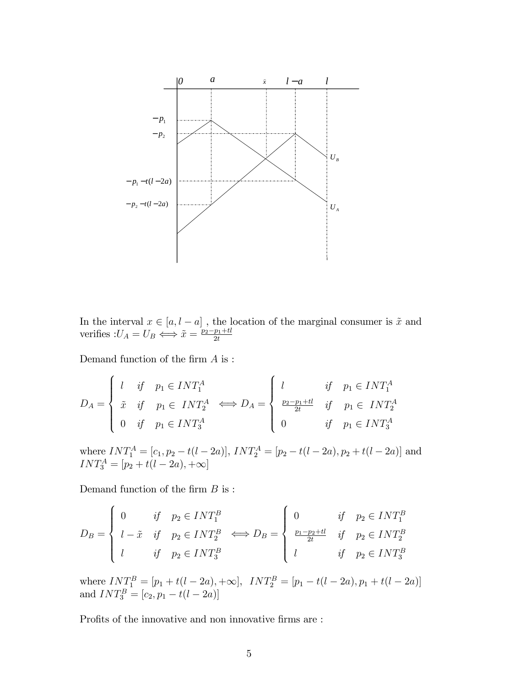

In the interval  $x \in [a, l - a]$ , the location of the marginal consumer is  $\tilde{x}$  and verifies  $:U_A = U_B \Longleftrightarrow \tilde{x} = \frac{p_2 - p_1 + tl}{2t}$ 

Demand function of the firm  $A$  is :

$$
D_A = \begin{cases} l & \text{if} & p_1 \in INT_1^A \\ \tilde{x} & \text{if} & p_1 \in INT_2^A \\ 0 & \text{if} & p_1 \in INT_3^A \end{cases} \Longleftrightarrow D_A = \begin{cases} l & \text{if} & p_1 \in INT_1^A \\ \frac{p_2 - p_1 + tl}{2t} & \text{if} & p_1 \in INT_2^A \\ 0 & \text{if} & p_1 \in INT_3^A \end{cases}
$$

where  $INT_1^A = [c_1, p_2 - t(l - 2a)]$ ,  $INT_2^A = [p_2 - t(l - 2a), p_2 + t(l - 2a)]$  and  $INT_{3}^{A} = [p_{2} + t(l - 2a), +\infty]$ 

Demand function of the firm  $B$  is :

$$
D_B = \begin{cases} 0 & \text{if} \quad p_2 \in INT_1^B \\ l - \tilde{x} & \text{if} \quad p_2 \in INT_2^B \\ l & \text{if} \quad p_2 \in INT_3^B \end{cases} \Longleftrightarrow D_B = \begin{cases} 0 & \text{if} \quad p_2 \in INT_1^B \\ \frac{p_1 - p_2 + tl}{2t} & \text{if} \quad p_2 \in INT_2^B \\ l & \text{if} \quad p_2 \in INT_3^B \end{cases}
$$

where  $INT_{1}^{B} = [p_1 + t(l-2a), +\infty], \quad INT_{2}^{B} = [p_1 - t(l-2a), p_1 + t(l-2a)]$ and  $INT_3^B = [c_2, p_1 - t(l - 2a)]$ 

Profits of the innovative and non innovative firms are :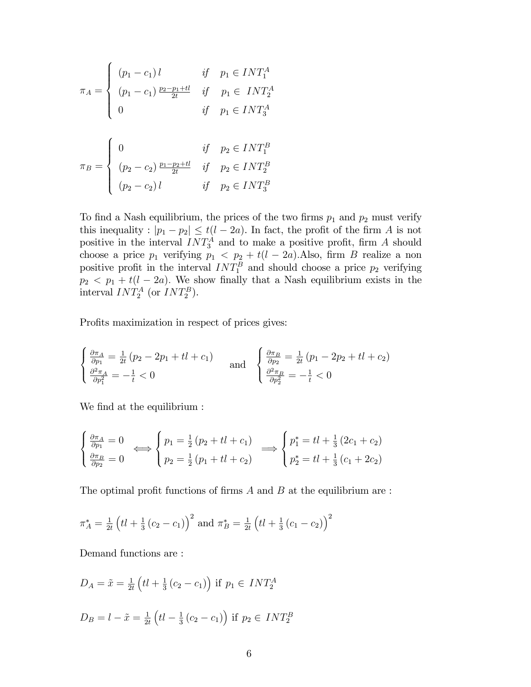$$
\pi_A = \begin{cases}\n(p_1 - c_1) l & \text{if } p_1 \in INT_1^A \\
(p_1 - c_1) \frac{p_2 - p_1 + tl}{2t} & \text{if } p_1 \in INT_2^A \\
0 & \text{if } p_1 \in INT_3^A\n\end{cases}
$$
\n
$$
\pi_B = \begin{cases}\n0 & \text{if } p_2 \in INT_1^B \\
(p_2 - c_2) \frac{p_1 - p_2 + tl}{2t} & \text{if } p_2 \in INT_2^B \\
(p_2 - c_2) l & \text{if } p_2 \in INT_3^B\n\end{cases}
$$

To find a Nash equilibrium, the prices of the two firms  $p_1$  and  $p_2$  must verify this inequality :  $|p_1 - p_2| \le t(l - 2a)$ . In fact, the profit of the firm A is not positive in the interval  $INT^A_3$  and to make a positive profit, firm A should choose a price  $p_1$  verifying  $p_1 < p_2 + t(l - 2a)$ . Also, firm B realize a non positive profit in the interval  $INT^B_1$  and should choose a price  $p_2$  verifying  $p_2$  <  $p_1$  +  $t(l - 2a)$ . We show finally that a Nash equilibrium exists in the interval  $INT_2^A$  (or  $INT_2^B$ ).

Profits maximization in respect of prices gives:

$$
\begin{cases} \frac{\partial \pi_A}{\partial p_1} = \frac{1}{2t} (p_2 - 2p_1 + tl + c_1) \\ \frac{\partial^2 \pi_A}{\partial p_1^2} = -\frac{1}{t} < 0 \end{cases} \text{ and } \begin{cases} \frac{\partial \pi_B}{\partial p_2} = \frac{1}{2t} (p_1 - 2p_2 + tl + c_2) \\ \frac{\partial^2 \pi_B}{\partial p_2^2} = -\frac{1}{t} < 0 \end{cases}
$$

We find at the equilibrium :

$$
\begin{cases} \frac{\partial \pi_A}{\partial p_1} = 0 \\ \frac{\partial \pi_B}{\partial p_2} = 0 \end{cases} \Longleftrightarrow \begin{cases} p_1 = \frac{1}{2} (p_2 + tl + c_1) \\ p_2 = \frac{1}{2} (p_1 + tl + c_2) \end{cases} \Longrightarrow \begin{cases} p_1^* = tl + \frac{1}{3} (2c_1 + c_2) \\ p_2^* = tl + \frac{1}{3} (c_1 + 2c_2) \end{cases}
$$

The optimal profit functions of firms  $A$  and  $B$  at the equilibrium are :

$$
\pi_A^* = \frac{1}{2t} \left( t l + \frac{1}{3} (c_2 - c_1) \right)^2
$$
 and  $\pi_B^* = \frac{1}{2t} \left( t l + \frac{1}{3} (c_1 - c_2) \right)^2$ 

Demand functions are :

$$
D_A = \tilde{x} = \frac{1}{2t} \left( t l + \frac{1}{3} (c_2 - c_1) \right) \text{ if } p_1 \in INT_2^A
$$
  

$$
D_B = l - \tilde{x} = \frac{1}{2t} \left( t l - \frac{1}{3} (c_2 - c_1) \right) \text{ if } p_2 \in INT_2^B
$$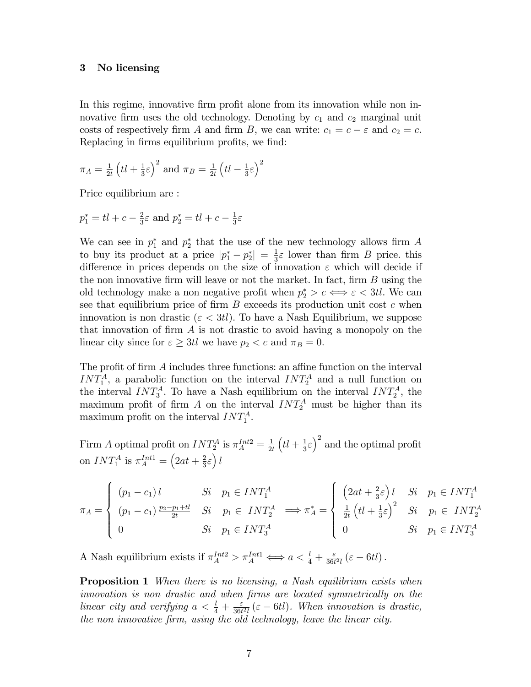## 3 No licensing

In this regime, innovative firm profit alone from its innovation while non innovative firm uses the old technology. Denoting by  $c_1$  and  $c_2$  marginal unit costs of respectively firm A and firm B, we can write:  $c_1 = c - \varepsilon$  and  $c_2 = c$ . Replacing in firms equilibrium profits, we find:

$$
\pi_A = \frac{1}{2t} \left( t \, + \frac{1}{3} \varepsilon \right)^2
$$
 and  $\pi_B = \frac{1}{2t} \left( t \, - \frac{1}{3} \varepsilon \right)^2$ 

Price equilibrium are :

 $p_1^* = tl + c - \frac{2}{3}$  $\frac{2}{3}\varepsilon$  and  $p_2^* = tl + c - \frac{1}{3}$  $rac{1}{3}\varepsilon$ 

We can see in  $p_1^*$  and  $p_2^*$  that the use of the new technology allows firm A to buy its product at a price  $|p_1^* - p_2^*| = \frac{1}{3}$  $\frac{1}{3}\varepsilon$  lower than firm B price. this difference in prices depends on the size of innovation  $\varepsilon$  which will decide if the non innovative firm will leave or not the market. In fact, firm  $B$  using the old technology make a non negative profit when  $p_2^* > c \iff \varepsilon < 3t$ . We can see that equilibrium price of firm  $B$  exceeds its production unit cost  $c$  when innovation is non drastic ( $\varepsilon < 3t$ ). To have a Nash Equilibrium, we suppose that innovation of firm  $A$  is not drastic to avoid having a monopoly on the linear city since for  $\varepsilon \geq 3t$ l we have  $p_2 < c$  and  $\pi_B = 0$ .

The profit of firm  $A$  includes three functions: an affine function on the interval  $INT<sub>1</sub><sup>A</sup>$ , a parabolic function on the interval  $INT<sub>2</sub><sup>A</sup>$  and a null function on the interval  $INT^A_3$ . To have a Nash equilibrium on the interval  $INT^A_2$ , the maximum profit of firm A on the interval  $INT_2^A$  must be higher than its maximum profit on the interval  $INT<sub>1</sub><sup>A</sup>$ .

Firm A optimal profit on  $INT_2^A$  is  $\pi_A^{Int2} = \frac{1}{2i}$  $2<sub>t</sub>$  $\left( tl+\frac{1}{3}\right)$  $\frac{1}{3}\varepsilon$  and the optimal profit on  $INT_1^A$  is  $\pi_A^{Int1} = \left(2at + \frac{2}{3}\right)$  $\frac{2}{3}\varepsilon$ ) l

$$
\pi_A = \begin{cases}\n(p_1 - c_1) l & Si & p_1 \in INT_1^A \\
(p_1 - c_1) \frac{p_2 - p_1 + tl}{2t} & Si & p_1 \in INT_2^A \\
0 & Si & p_1 \in INT_3^A\n\end{cases} \implies \pi_A^* = \begin{cases}\n\left(2at + \frac{2}{3}\varepsilon\right) l & Si & p_1 \in INT_1^A \\
\frac{1}{2t} \left(tl + \frac{1}{3}\varepsilon\right)^2 & Si & p_1 \in INT_2^A \\
0 & Si & p_1 \in INT_3^A\n\end{cases}
$$

A Nash equilibrium exists if  $\pi_A^{Int2} > \pi_A^{Int1} \iff a < \frac{l}{4} + \frac{\varepsilon}{36t}$  $\frac{\varepsilon}{36t^2l}(\varepsilon-6tl)$ .

**Proposition 1** When there is no licensing, a Nash equilibrium exists when innovation is non drastic and when firms are located symmetrically on the linear city and verifying  $a < \frac{l}{4} + \frac{\varepsilon}{36t}$  $\frac{\varepsilon}{36t^2l}(\varepsilon-6tl)$ . When innovation is drastic, the non innovative firm, using the old technology, leave the linear city.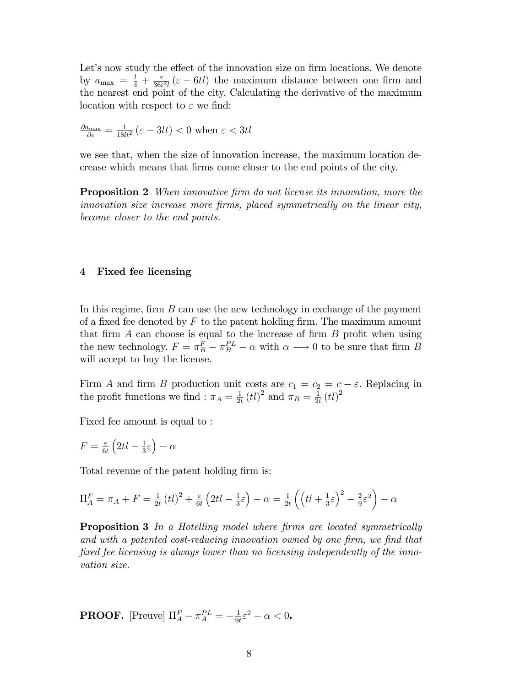Let's now study the effect of the innovation size on firm locations. We denote by  $a_{\text{max}} = \frac{l}{4} + \frac{\varepsilon}{36t}$  $\frac{\varepsilon}{36t^2l}(\varepsilon - 6tl)$  the maximum distance between one firm and the nearest end point of the city. Calculating the derivative of the maximum location with respect to  $\varepsilon$  we find:

$$
\frac{\partial a_{\max}}{\partial \varepsilon} = \frac{1}{18lt^2} \left( \varepsilon - 3lt \right) < 0
$$
 when  $\varepsilon < 3tl$ 

we see that, when the size of innovation increase, the maximum location decrease which means that Örms come closer to the end points of the city.

**Proposition 2** When innovative firm do not license its innovation, more the innovation size increase more firms, placed symmetrically on the linear city, become closer to the end points.

### 4 Fixed fee licensing

In this regime, firm  $B$  can use the new technology in exchange of the payment of a fixed fee denoted by  $F$  to the patent holding firm. The maximum amount that firm  $A$  can choose is equal to the increase of firm  $B$  profit when using the new technology.  $F = \pi_B^F - \pi_B^{PL} - \alpha$  with  $\alpha \longrightarrow 0$  to be sure that firm B will accept to buy the license.

Firm A and firm B production unit costs are  $c_1 = c_2 = c - \varepsilon$ . Replacing in the profit functions we find :  $\pi_A = \frac{1}{2i}$  $\frac{1}{2t}$  (*tl*)<sup>2</sup> and  $\pi_B = \frac{1}{2t}$  $\frac{1}{2t}\left( tl\right) ^{2}$ 

Fixed fee amount is equal to :

$$
F = \frac{\varepsilon}{6t} \left( 2t \, - \frac{1}{3} \varepsilon \right) - \alpha
$$

Total revenue of the patent holding firm is:

$$
\Pi_A^F = \pi_A + F = \frac{1}{2t} (t l)^2 + \frac{\varepsilon}{6t} (2t l - \frac{1}{3}\varepsilon) - \alpha = \frac{1}{2t} \left( \left( t l + \frac{1}{3}\varepsilon \right)^2 - \frac{2}{9}\varepsilon^2 \right) - \alpha
$$

**Proposition 3** In a Hotelling model where firms are located symmetrically and with a patented cost-reducing innovation owned by one firm, we find that fixed fee licensing is always lower than no licensing independently of the innovation size.

**PROOF.** [Preuve] 
$$
\Pi_A^F - \pi_A^{PL} = -\frac{1}{9t}\varepsilon^2 - \alpha < 0
$$
.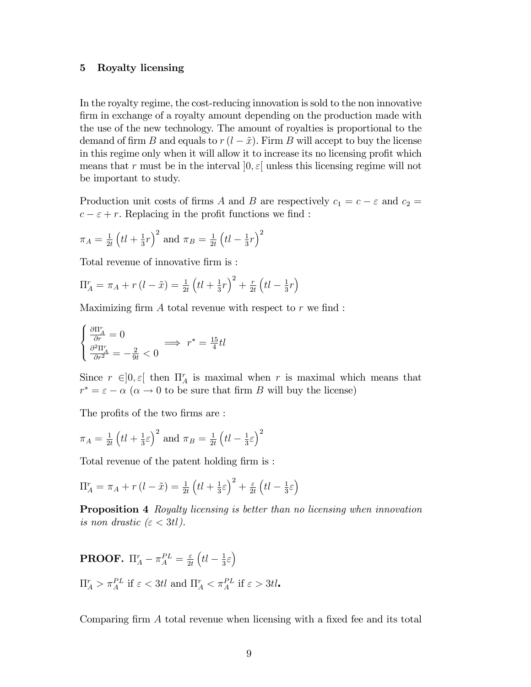#### 5 Royalty licensing

In the royalty regime, the cost-reducing innovation is sold to the non innovative firm in exchange of a royalty amount depending on the production made with the use of the new technology. The amount of royalties is proportional to the demand of firm B and equals to  $r (l - \tilde{x})$ . Firm B will accept to buy the license in this regime only when it will allow it to increase its no licensing profit which means that r must be in the interval  $[0, \varepsilon]$  unless this licensing regime will not be important to study.

Production unit costs of firms A and B are respectively  $c_1 = c - \varepsilon$  and  $c_2 =$  $c - \varepsilon + r$ . Replacing in the profit functions we find :

$$
\pi_A = \frac{1}{2t} \left( t \, + \frac{1}{3} r \right)^2
$$
 and 
$$
\pi_B = \frac{1}{2t} \left( t \, - \frac{1}{3} r \right)^2
$$

Total revenue of innovative firm is :

$$
\Pi_A^r = \pi_A + r(l - \tilde{x}) = \frac{1}{2t} (tl + \frac{1}{3}r)^2 + \frac{r}{2t} (tl - \frac{1}{3}r)
$$

Maximizing firm  $A$  total revenue with respect to  $r$  we find :

$$
\begin{cases} \frac{\partial\Pi_A^r}{\partial r}=0 \\ \frac{\partial^2\Pi_A^r}{\partial r^2}=-\frac{2}{9t}<0 \end{cases} \Longrightarrow \; r^*=\tfrac{15}{4}tl
$$

Since  $r \in ]0, \varepsilon[$  then  $\Pi_A^r$  is maximal when r is maximal which means that  $r^* = \varepsilon - \alpha \ (\alpha \to 0 \text{ to be sure that firm } B \text{ will buy the license})$ 

The profits of the two firms are :

$$
\pi_A = \frac{1}{2t} \left( t l + \frac{1}{3} \varepsilon \right)^2
$$
 and  $\pi_B = \frac{1}{2t} \left( t l - \frac{1}{3} \varepsilon \right)^2$ 

Total revenue of the patent holding firm is:

$$
\Pi_A^r = \pi_A + r(l - \tilde{x}) = \frac{1}{2t} \left( tl + \frac{1}{3}\varepsilon \right)^2 + \frac{\varepsilon}{2t} \left( tl - \frac{1}{3}\varepsilon \right)
$$

Proposition 4 Royalty licensing is better than no licensing when innovation is non drastic  $(\varepsilon < 3t)$ .

**PROOF.**  $\Pi_A^r - \pi_A^{PL} = \frac{\varepsilon}{2n}$  $2t$  $\left( tl - \frac{1}{3} \right)$  $\frac{1}{3}\varepsilon$  $\Pi_A^r > \pi_A^{PL}$  if  $\varepsilon < 3t$ l and  $\Pi_A^r < \pi_A^{PL}$  if  $\varepsilon > 3t$ l.

Comparing firm  $A$  total revenue when licensing with a fixed fee and its total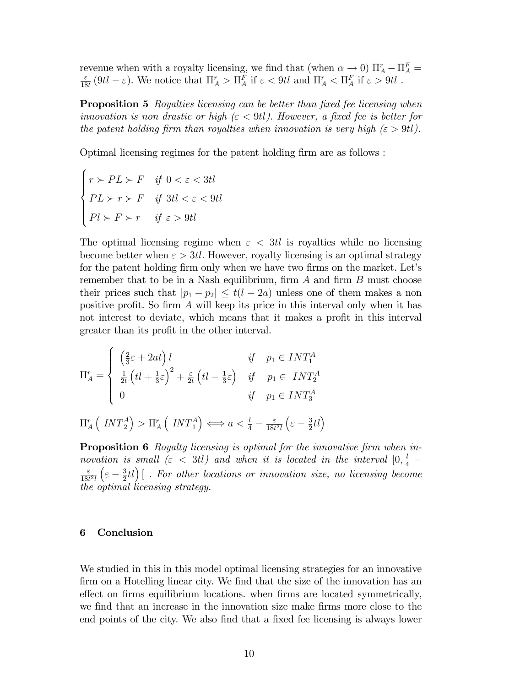revenue when with a royalty licensing, we find that (when  $\alpha \to 0$ )  $\Pi_A^r - \Pi_A^F =$  $\varepsilon$  $\frac{\varepsilon}{18t}$  (9tl  $-\varepsilon$ ). We notice that  $\Pi_A^r > \Pi_A^F$  if  $\varepsilon < 9t$ l and  $\Pi_A^r < \Pi_A^F$  if  $\varepsilon > 9t$ l.

**Proposition 5** Royalties licensing can be better than fixed fee licensing when innovation is non drastic or high  $(\epsilon < 9t)$ . However, a fixed fee is better for the patent holding firm than royalties when innovation is very high  $(\varepsilon > 9t)$ .

Optimal licensing regimes for the patent holding firm are as follows :

$$
\begin{cases}\nr \succ PL \succ F & \text{if } 0 < \varepsilon < 3tl \\
PL \succ r \succ F & \text{if } 3tl < \varepsilon < 9tl \\
Pl \succ F \succ r & \text{if } \varepsilon > 9tl\n\end{cases}
$$

The optimal licensing regime when  $\varepsilon < 3t$ l is royalties while no licensing become better when  $\varepsilon > 3t$ . However, royalty licensing is an optimal strategy for the patent holding firm only when we have two firms on the market. Let's remember that to be in a Nash equilibrium, firm  $A$  and firm  $B$  must choose their prices such that  $|p_1 - p_2| \le t(l - 2a)$  unless one of them makes a non positive profit. So firm  $\tilde{A}$  will keep its price in this interval only when it has not interest to deviate, which means that it makes a profit in this interval greater than its profit in the other interval.

$$
\Pi_A^r = \begin{cases}\n\left(\frac{2}{3}\varepsilon + 2at\right)l & \text{if } p_1 \in INT_1^A \\
\frac{1}{2t}\left(tl + \frac{1}{3}\varepsilon\right)^2 + \frac{\varepsilon}{2t}\left(tl - \frac{1}{3}\varepsilon\right) & \text{if } p_1 \in INT_2^A \\
0 & \text{if } p_1 \in INT_3^A\n\end{cases}
$$

 $\Pi^r_A$  $\left(\right. INT_{2}^{A}$  $\Big) > \Pi_{A}^{r}$  $\left(\right. INT_{\,1}^{A}$  $\left( \begin{array}{c} \end{array} \right) \Longleftrightarrow a < \frac{l}{4} - \frac{\varepsilon}{18t}$  $\overline{18t^2l}$  $\Big(\varepsilon - \frac{3}{2}$  $\frac{3}{2}tl$ 

**Proposition 6** Royalty licensing is optimal for the innovative firm when innovation is small ( $\varepsilon$  < 3tl) and when it is located in the interval  $[0, \frac{l}{4} \varepsilon$  $\overline{18t^2l}$  $\Big(\varepsilon - \frac{3}{2}$  $\left(\frac{3}{2} t l\right)$  [ . For other locations or innovation size, no licensing become the optimal licensing strategy.

#### 6 Conclusion

We studied in this in this model optimal licensing strategies for an innovative firm on a Hotelling linear city. We find that the size of the innovation has an effect on firms equilibrium locations. when firms are located symmetrically, we find that an increase in the innovation size make firms more close to the end points of the city. We also find that a fixed fee licensing is always lower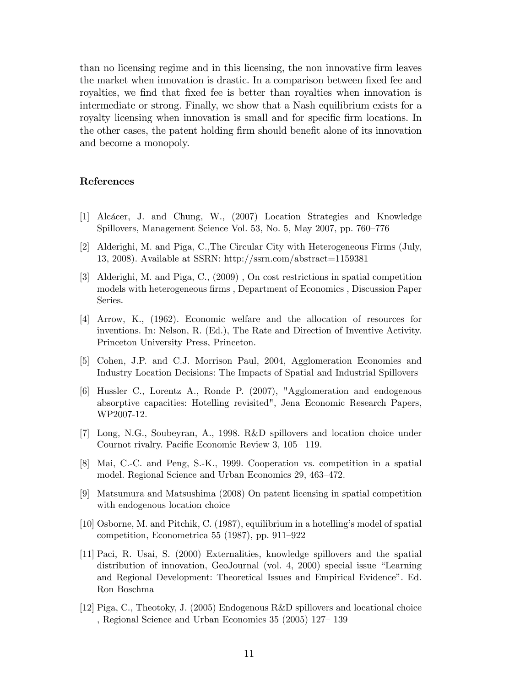than no licensing regime and in this licensing, the non innovative Örm leaves the market when innovation is drastic. In a comparison between fixed fee and royalties, we find that fixed fee is better than royalties when innovation is intermediate or strong. Finally, we show that a Nash equilibrium exists for a royalty licensing when innovation is small and for specific firm locations. In the other cases, the patent holding firm should benefit alone of its innovation and become a monopoly.

### References

- [1] Alc·cer, J. and Chung, W., (2007) Location Strategies and Knowledge Spillovers, Management Science Vol. 53, No. 5, May 2007, pp. 760–776
- [2] Alderighi, M. and Piga, C.,The Circular City with Heterogeneous Firms (July, 13, 2008). Available at SSRN: http://ssrn.com/abstract=1159381
- [3] Alderighi, M. and Piga, C., (2009) , On cost restrictions in spatial competition models with heterogeneous firms , Department of Economics , Discussion Paper Series.
- [4] Arrow, K., (1962). Economic welfare and the allocation of resources for inventions. In: Nelson, R. (Ed.), The Rate and Direction of Inventive Activity. Princeton University Press, Princeton.
- [5] Cohen, J.P. and C.J. Morrison Paul, 2004, Agglomeration Economies and Industry Location Decisions: The Impacts of Spatial and Industrial Spillovers
- [6] Hussler C., Lorentz A., Ronde P. (2007), "Agglomeration and endogenous absorptive capacities: Hotelling revisited", Jena Economic Research Papers, WP2007-12.
- [7] Long, N.G., Soubeyran, A., 1998. R&D spillovers and location choice under Cournot rivalry. Pacific Economic Review 3, 105–119.
- [8] Mai, C.-C. and Peng, S.-K., 1999. Cooperation vs. competition in a spatial model. Regional Science and Urban Economics 29, 463–472.
- [9] Matsumura and Matsushima (2008) On patent licensing in spatial competition with endogenous location choice
- [10] Osborne, M. and Pitchik, C. (1987), equilibrium in a hotellingís model of spatial competition, Econometrica 55 (1987), pp. 911–922
- [11] Paci, R. Usai, S. (2000) Externalities, knowledge spillovers and the spatial distribution of innovation, GeoJournal (vol. 4, 2000) special issue "Learning and Regional Development: Theoretical Issues and Empirical Evidenceî. Ed. Ron Boschma
- [12] Piga, C., Theotoky, J. (2005) Endogenous R&D spillovers and locational choice , Regional Science and Urban Economics  $35$   $(2005)$   $127-139$